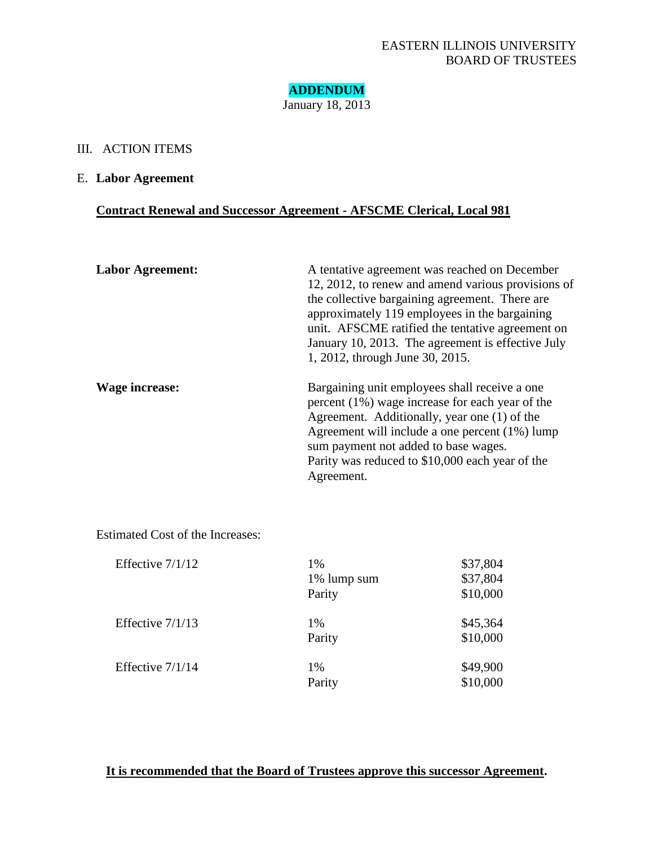**ADDENDUM** January 18, 2013

## III. ACTION ITEMS

## E. **Labor Agreement**

# **Contract Renewal and Successor Agreement - AFSCME Clerical, Local 981**

| <b>Labor Agreement:</b> | A tentative agreement was reached on December<br>12, 2012, to renew and amend various provisions of                                                                                                                                                                                                            |
|-------------------------|----------------------------------------------------------------------------------------------------------------------------------------------------------------------------------------------------------------------------------------------------------------------------------------------------------------|
|                         | the collective bargaining agreement. There are<br>approximately 119 employees in the bargaining<br>unit. AFSCME ratified the tentative agreement on<br>January 10, 2013. The agreement is effective July<br>1, 2012, through June 30, 2015.                                                                    |
| Wage increase:          | Bargaining unit employees shall receive a one<br>percent (1%) wage increase for each year of the<br>Agreement. Additionally, year one (1) of the<br>Agreement will include a one percent $(1\%)$ lump<br>sum payment not added to base wages.<br>Parity was reduced to \$10,000 each year of the<br>Agreement. |

Estimated Cost of the Increases:

| Effective $7/1/12$ | 1%<br>1% lump sum<br>Parity | \$37,804<br>\$37,804<br>\$10,000 |
|--------------------|-----------------------------|----------------------------------|
| Effective $7/1/13$ | 1%<br>Parity                | \$45,364<br>\$10,000             |
| Effective $7/1/14$ | 1%<br>Parity                | \$49,900<br>\$10,000             |

# **It is recommended that the Board of Trustees approve this successor Agreement.**